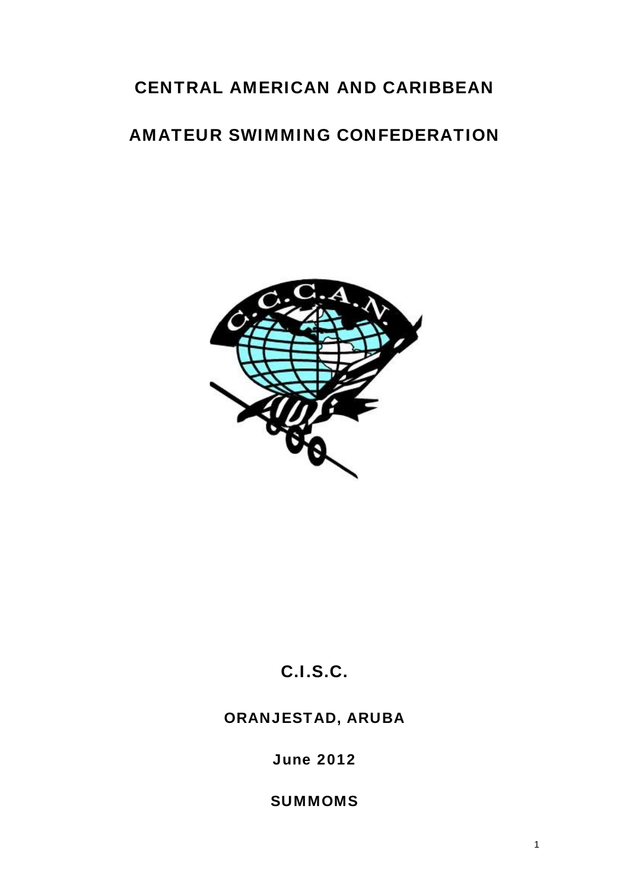# CENTRAL AMERICAN AND CARIBBEAN

# AMATEUR SWIMMING CONFEDERATION



# C.I.S.C.

## ORANJESTAD, ARUBA

June 2012

**SUMMOMS**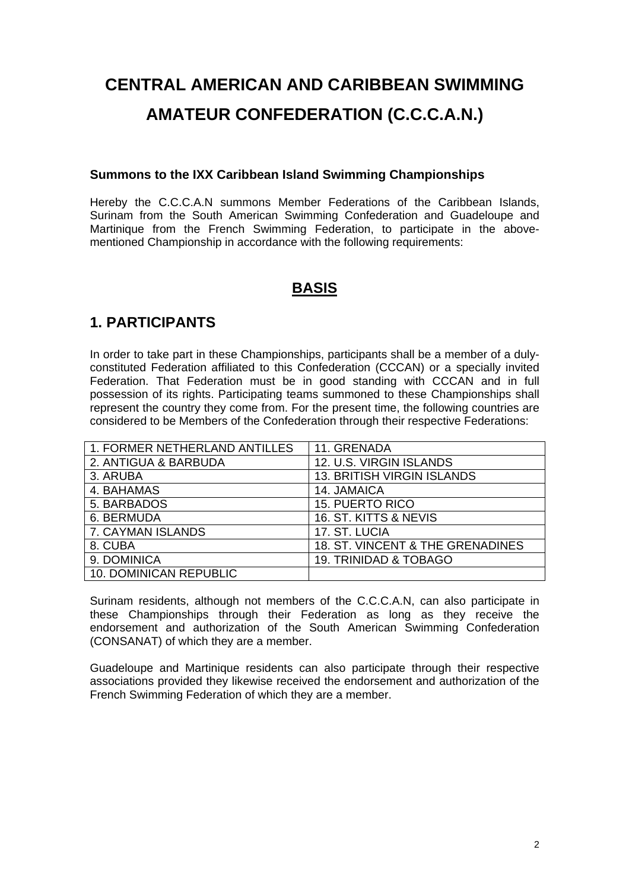# **CENTRAL AMERICAN AND CARIBBEAN SWIMMING AMATEUR CONFEDERATION (C.C.C.A.N.)**

#### **Summons to the IXX Caribbean Island Swimming Championships**

Hereby the C.C.C.A.N summons Member Federations of the Caribbean Islands, Surinam from the South American Swimming Confederation and Guadeloupe and Martinique from the French Swimming Federation, to participate in the abovementioned Championship in accordance with the following requirements:

## **BASIS**

## **1. PARTICIPANTS**

In order to take part in these Championships, participants shall be a member of a dulyconstituted Federation affiliated to this Confederation (CCCAN) or a specially invited Federation. That Federation must be in good standing with CCCAN and in full possession of its rights. Participating teams summoned to these Championships shall represent the country they come from. For the present time, the following countries are considered to be Members of the Confederation through their respective Federations:

| 1. FORMER NETHERLAND ANTILLES | 11. GRENADA                       |
|-------------------------------|-----------------------------------|
| 2. ANTIGUA & BARBUDA          | 12. U.S. VIRGIN ISLANDS           |
| 3. ARUBA                      | <b>13. BRITISH VIRGIN ISLANDS</b> |
| 4. BAHAMAS                    | 14. JAMAICA                       |
| 5. BARBADOS                   | <b>15. PUERTO RICO</b>            |
| 6. BERMUDA                    | 16. ST. KITTS & NEVIS             |
| 7. CAYMAN ISLANDS             | 17. ST. LUCIA                     |
| 8. CUBA                       | 18. ST. VINCENT & THE GRENADINES  |
| 9. DOMINICA                   | <b>19. TRINIDAD &amp; TOBAGO</b>  |
| 10. DOMINICAN REPUBLIC        |                                   |

Surinam residents, although not members of the C.C.C.A.N, can also participate in these Championships through their Federation as long as they receive the endorsement and authorization of the South American Swimming Confederation (CONSANAT) of which they are a member.

Guadeloupe and Martinique residents can also participate through their respective associations provided they likewise received the endorsement and authorization of the French Swimming Federation of which they are a member.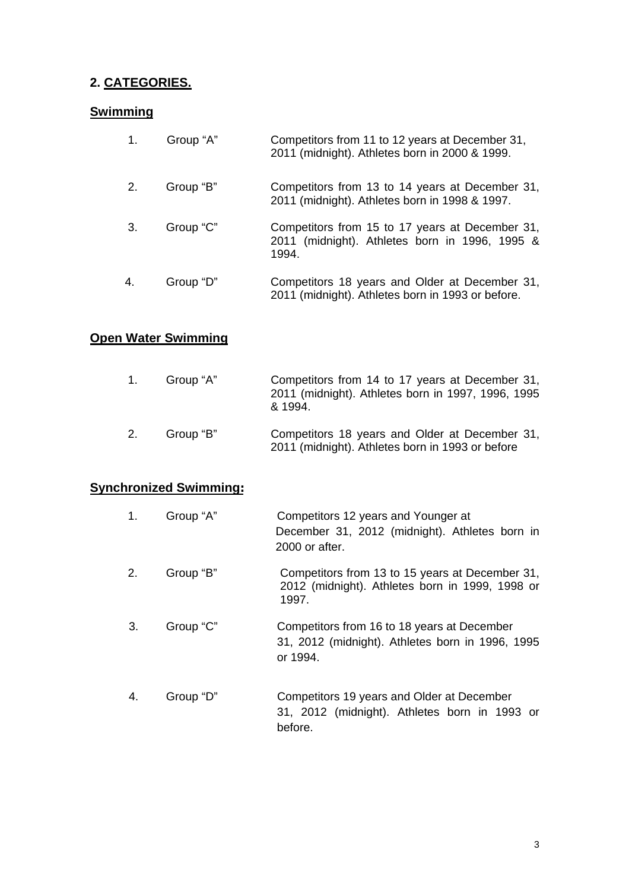## **2. CATEGORIES.**

#### **Swimming**

| 1. | Group "A" | Competitors from 11 to 12 years at December 31,<br>2011 (midnight). Athletes born in 2000 & 1999.          |
|----|-----------|------------------------------------------------------------------------------------------------------------|
| 2. | Group "B" | Competitors from 13 to 14 years at December 31,<br>2011 (midnight). Athletes born in 1998 & 1997.          |
| 3. | Group "C" | Competitors from 15 to 17 years at December 31,<br>2011 (midnight). Athletes born in 1996, 1995 &<br>1994. |
| 4. | Group "D" | Competitors 18 years and Older at December 31,<br>2011 (midnight). Athletes born in 1993 or before.        |

## **Open Water Swimming**

| $1_{-}$ | Group "A" | Competitors from 14 to 17 years at December 31,<br>2011 (midnight). Athletes born in 1997, 1996, 1995<br>& 1994. |
|---------|-----------|------------------------------------------------------------------------------------------------------------------|
| 2.      | Group "B" | Competitors 18 years and Older at December 31,<br>2011 (midnight). Athletes born in 1993 or before               |

#### **Synchronized Swimming:**

| 1. | Group "A" | Competitors 12 years and Younger at<br>December 31, 2012 (midnight). Athletes born in<br>2000 or after.     |
|----|-----------|-------------------------------------------------------------------------------------------------------------|
| 2. | Group "B" | Competitors from 13 to 15 years at December 31,<br>2012 (midnight). Athletes born in 1999, 1998 or<br>1997. |
| 3. | Group "C" | Competitors from 16 to 18 years at December<br>31, 2012 (midnight). Athletes born in 1996, 1995<br>or 1994. |
| 4. | Group "D" | Competitors 19 years and Older at December<br>31, 2012 (midnight). Athletes born in 1993 or<br>before.      |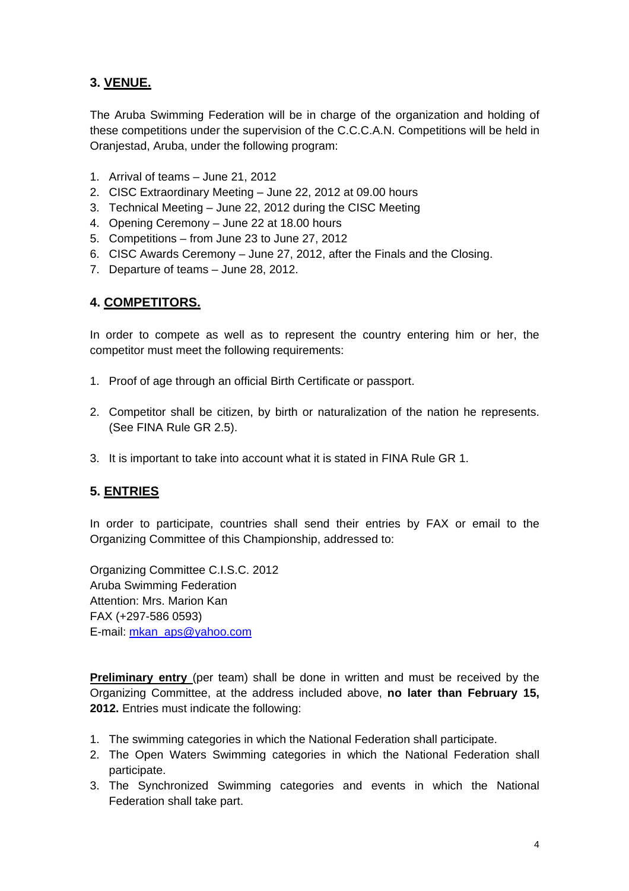## **3. VENUE.**

The Aruba Swimming Federation will be in charge of the organization and holding of these competitions under the supervision of the C.C.C.A.N. Competitions will be held in Oranjestad, Aruba, under the following program:

- 1. Arrival of teams June 21, 2012
- 2. CISC Extraordinary Meeting June 22, 2012 at 09.00 hours
- 3. Technical Meeting June 22, 2012 during the CISC Meeting
- 4. Opening Ceremony June 22 at 18.00 hours
- 5. Competitions from June 23 to June 27, 2012
- 6. CISC Awards Ceremony June 27, 2012, after the Finals and the Closing.
- 7. Departure of teams June 28, 2012.

#### **4. COMPETITORS.**

In order to compete as well as to represent the country entering him or her, the competitor must meet the following requirements:

- 1. Proof of age through an official Birth Certificate or passport.
- 2. Competitor shall be citizen, by birth or naturalization of the nation he represents. (See FINA Rule GR 2.5).
- 3. It is important to take into account what it is stated in FINA Rule GR 1.

#### **5. ENTRIES**

In order to participate, countries shall send their entries by FAX or email to the Organizing Committee of this Championship, addressed to:

Organizing Committee C.I.S.C. 2012 Aruba Swimming Federation Attention: Mrs. Marion Kan FAX (+297-586 0593) E-mail: [mkan\\_aps@yahoo.com](mailto:mkan_@yahoo.com)

**Preliminary entry** (per team) shall be done in written and must be received by the Organizing Committee, at the address included above, **no later than February 15, 2012.** Entries must indicate the following:

- 1. The swimming categories in which the National Federation shall participate.
- 2. The Open Waters Swimming categories in which the National Federation shall participate.
- 3. The Synchronized Swimming categories and events in which the National Federation shall take part.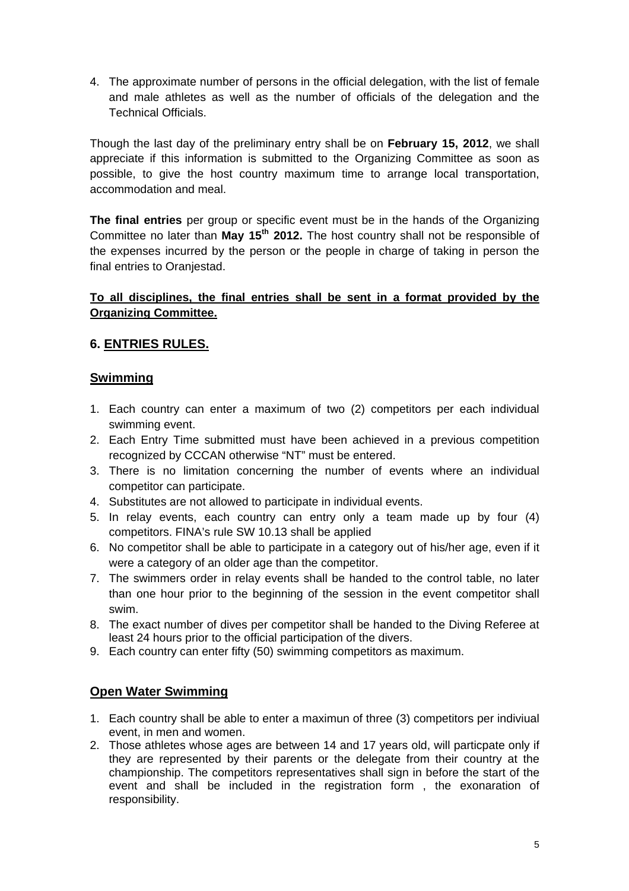4. The approximate number of persons in the official delegation, with the list of female and male athletes as well as the number of officials of the delegation and the Technical Officials.

Though the last day of the preliminary entry shall be on **February 15, 2012**, we shall appreciate if this information is submitted to the Organizing Committee as soon as possible, to give the host country maximum time to arrange local transportation, accommodation and meal.

**The final entries** per group or specific event must be in the hands of the Organizing Committee no later than **May 15th 2012.** The host country shall not be responsible of the expenses incurred by the person or the people in charge of taking in person the final entries to Oranjestad.

#### **To all disciplines, the final entries shall be sent in a format provided by the Organizing Committee.**

#### **6. ENTRIES RULES.**

#### **Swimming**

- 1. Each country can enter a maximum of two (2) competitors per each individual swimming event.
- 2. Each Entry Time submitted must have been achieved in a previous competition recognized by CCCAN otherwise "NT" must be entered.
- 3. There is no limitation concerning the number of events where an individual competitor can participate.
- 4. Substitutes are not allowed to participate in individual events.
- 5. In relay events, each country can entry only a team made up by four (4) competitors. FINA's rule SW 10.13 shall be applied
- 6. No competitor shall be able to participate in a category out of his/her age, even if it were a category of an older age than the competitor.
- 7. The swimmers order in relay events shall be handed to the control table, no later than one hour prior to the beginning of the session in the event competitor shall swim.
- 8. The exact number of dives per competitor shall be handed to the Diving Referee at least 24 hours prior to the official participation of the divers.
- 9. Each country can enter fifty (50) swimming competitors as maximum.

#### **Open Water Swimming**

- 1. Each country shall be able to enter a maximun of three (3) competitors per indiviual event, in men and women.
- 2. Those athletes whose ages are between 14 and 17 years old, will particpate only if they are represented by their parents or the delegate from their country at the championship. The competitors representatives shall sign in before the start of the event and shall be included in the registration form , the exonaration of responsibility.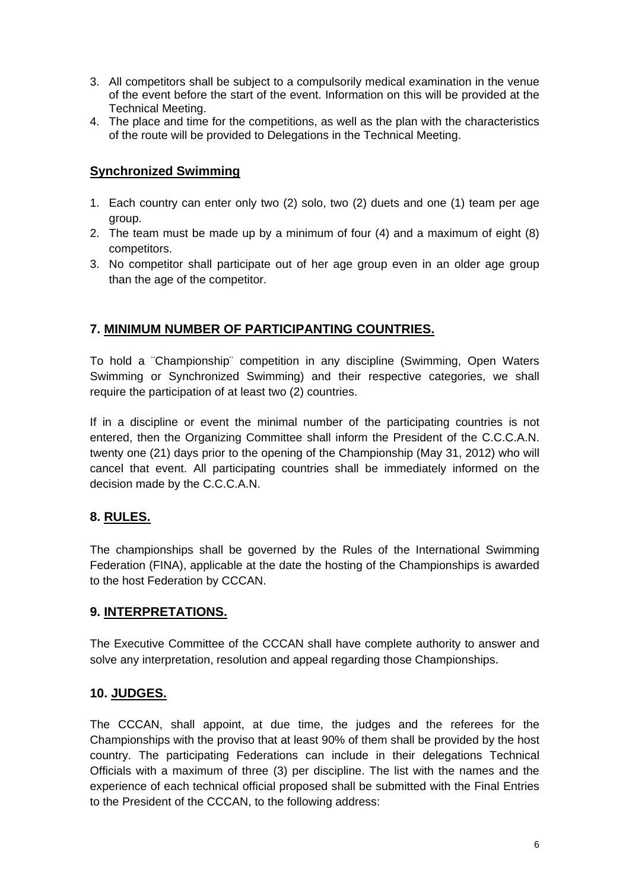- 3. All competitors shall be subject to a compulsorily medical examination in the venue of the event before the start of the event. Information on this will be provided at the Technical Meeting.
- 4. The place and time for the competitions, as well as the plan with the characteristics of the route will be provided to Delegations in the Technical Meeting.

#### **Synchronized Swimming**

- 1. Each country can enter only two (2) solo, two (2) duets and one (1) team per age group.
- 2. The team must be made up by a minimum of four (4) and a maximum of eight (8) competitors.
- 3. No competitor shall participate out of her age group even in an older age group than the age of the competitor.

#### **7. MINIMUM NUMBER OF PARTICIPANTING COUNTRIES.**

To hold a ¨Championship¨ competition in any discipline (Swimming, Open Waters Swimming or Synchronized Swimming) and their respective categories, we shall require the participation of at least two (2) countries.

If in a discipline or event the minimal number of the participating countries is not entered, then the Organizing Committee shall inform the President of the C.C.C.A.N. twenty one (21) days prior to the opening of the Championship (May 31, 2012) who will cancel that event. All participating countries shall be immediately informed on the decision made by the C.C.C.A.N.

#### **8. RULES.**

The championships shall be governed by the Rules of the International Swimming Federation (FINA), applicable at the date the hosting of the Championships is awarded to the host Federation by CCCAN.

#### **9. INTERPRETATIONS.**

The Executive Committee of the CCCAN shall have complete authority to answer and solve any interpretation, resolution and appeal regarding those Championships.

#### **10. JUDGES.**

The CCCAN, shall appoint, at due time, the judges and the referees for the Championships with the proviso that at least 90% of them shall be provided by the host country. The participating Federations can include in their delegations Technical Officials with a maximum of three (3) per discipline. The list with the names and the experience of each technical official proposed shall be submitted with the Final Entries to the President of the CCCAN, to the following address: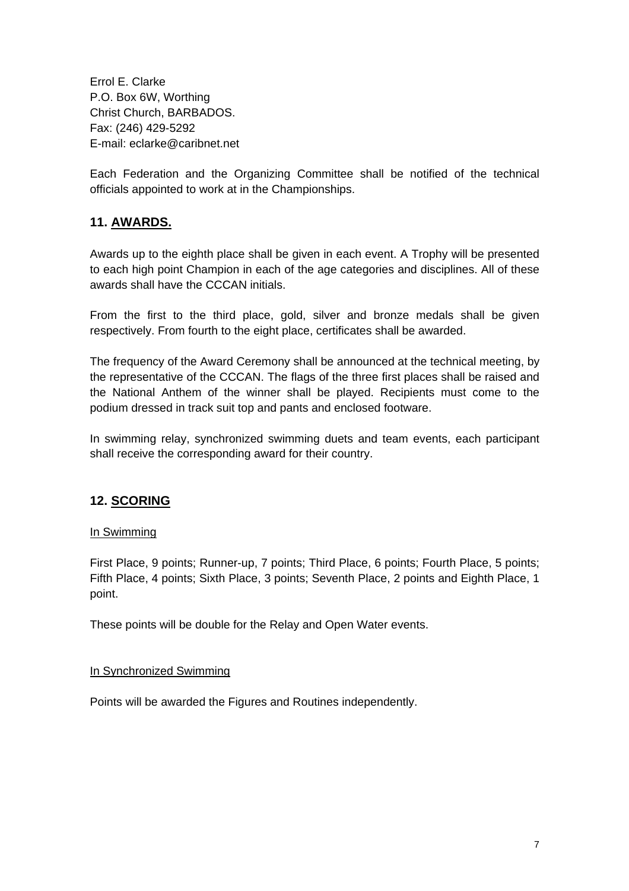Errol E. Clarke P.O. Box 6W, Worthing Christ Church, BARBADOS. Fax: (246) 429-5292 E-mail: eclarke@caribnet.net

Each Federation and the Organizing Committee shall be notified of the technical officials appointed to work at in the Championships.

#### **11. AWARDS.**

Awards up to the eighth place shall be given in each event. A Trophy will be presented to each high point Champion in each of the age categories and disciplines. All of these awards shall have the CCCAN initials.

From the first to the third place, gold, silver and bronze medals shall be given respectively. From fourth to the eight place, certificates shall be awarded.

The frequency of the Award Ceremony shall be announced at the technical meeting, by the representative of the CCCAN. The flags of the three first places shall be raised and the National Anthem of the winner shall be played. Recipients must come to the podium dressed in track suit top and pants and enclosed footware.

In swimming relay, synchronized swimming duets and team events, each participant shall receive the corresponding award for their country.

#### **12. SCORING**

#### In Swimming

First Place, 9 points; Runner-up, 7 points; Third Place, 6 points; Fourth Place, 5 points; Fifth Place, 4 points; Sixth Place, 3 points; Seventh Place, 2 points and Eighth Place, 1 point.

These points will be double for the Relay and Open Water events.

#### In Synchronized Swimming

Points will be awarded the Figures and Routines independently.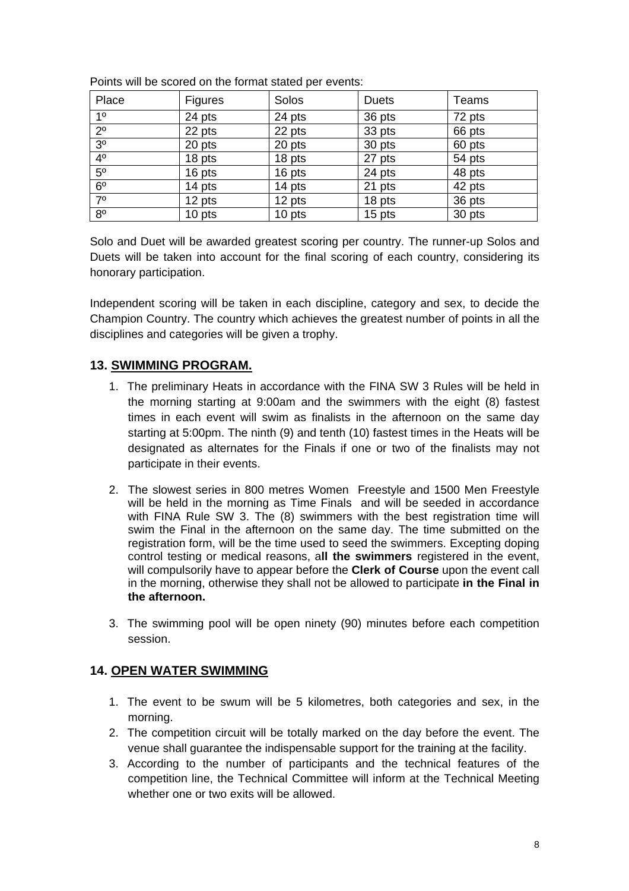| Place          | <b>Figures</b> | Solos  | <b>Duets</b> | Teams  |
|----------------|----------------|--------|--------------|--------|
| 1 <sup>0</sup> | 24 pts         | 24 pts | 36 pts       | 72 pts |
| $2^{\circ}$    | 22 pts         | 22 pts | 33 pts       | 66 pts |
| $3^{\circ}$    | 20 pts         | 20 pts | 30 pts       | 60 pts |
| 4 <sup>0</sup> | 18 pts         | 18 pts | 27 pts       | 54 pts |
| $5^{\circ}$    | 16 pts         | 16 pts | 24 pts       | 48 pts |
| 6 <sup>o</sup> | 14 pts         | 14 pts | 21 pts       | 42 pts |
| $7^\circ$      | 12 pts         | 12 pts | 18 pts       | 36 pts |
| $8^{\circ}$    | 10 pts         | 10 pts | 15 pts       | 30 pts |

Points will be scored on the format stated per events:

Solo and Duet will be awarded greatest scoring per country. The runner-up Solos and Duets will be taken into account for the final scoring of each country, considering its honorary participation.

Independent scoring will be taken in each discipline, category and sex, to decide the Champion Country. The country which achieves the greatest number of points in all the disciplines and categories will be given a trophy.

#### **13. SWIMMING PROGRAM.**

- 1. The preliminary Heats in accordance with the FINA SW 3 Rules will be held in the morning starting at 9:00am and the swimmers with the eight (8) fastest times in each event will swim as finalists in the afternoon on the same day starting at 5:00pm. The ninth (9) and tenth (10) fastest times in the Heats will be designated as alternates for the Finals if one or two of the finalists may not participate in their events.
- 2. The slowest series in 800 metres Women Freestyle and 1500 Men Freestyle will be held in the morning as Time Finals and will be seeded in accordance with FINA Rule SW 3. The (8) swimmers with the best registration time will swim the Final in the afternoon on the same day. The time submitted on the registration form, will be the time used to seed the swimmers. Excepting doping control testing or medical reasons, a**ll the swimmers** registered in the event, will compulsorily have to appear before the **Clerk of Course** upon the event call in the morning, otherwise they shall not be allowed to participate **in the Final in the afternoon.**
- 3. The swimming pool will be open ninety (90) minutes before each competition session.

#### **14. OPEN WATER SWIMMING**

- 1. The event to be swum will be 5 kilometres, both categories and sex, in the morning.
- 2. The competition circuit will be totally marked on the day before the event. The venue shall guarantee the indispensable support for the training at the facility.
- 3. According to the number of participants and the technical features of the competition line, the Technical Committee will inform at the Technical Meeting whether one or two exits will be allowed.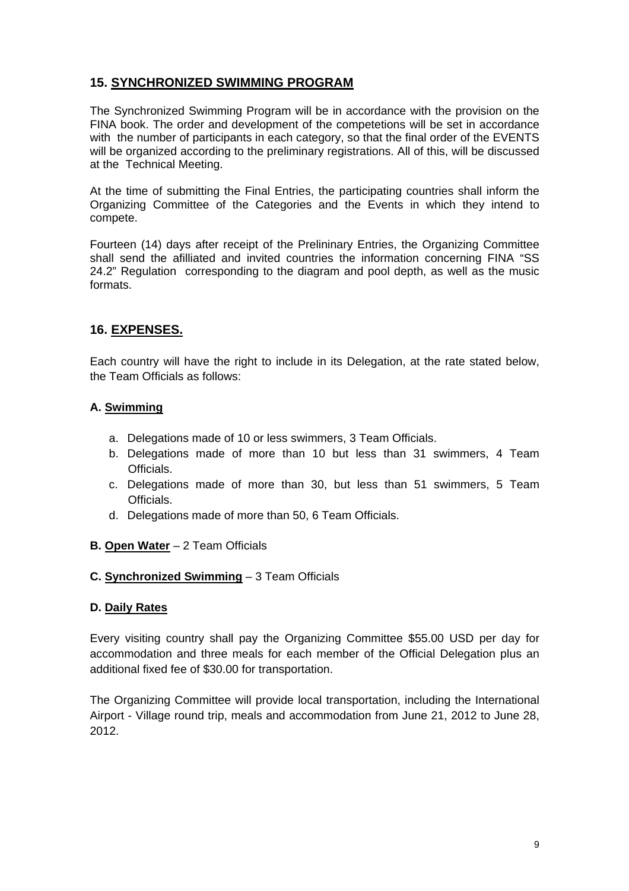#### **15. SYNCHRONIZED SWIMMING PROGRAM**

The Synchronized Swimming Program will be in accordance with the provision on the FINA book. The order and development of the competetions will be set in accordance with the number of participants in each category, so that the final order of the EVENTS will be organized according to the preliminary registrations. All of this, will be discussed at the Technical Meeting.

At the time of submitting the Final Entries, the participating countries shall inform the Organizing Committee of the Categories and the Events in which they intend to compete.

Fourteen (14) days after receipt of the Prelininary Entries, the Organizing Committee shall send the afilliated and invited countries the information concerning FINA "SS 24.2" Regulation corresponding to the diagram and pool depth, as well as the music formats.

#### **16. EXPENSES.**

Each country will have the right to include in its Delegation, at the rate stated below, the Team Officials as follows:

#### **A. Swimming**

- a. Delegations made of 10 or less swimmers, 3 Team Officials.
- b. Delegations made of more than 10 but less than 31 swimmers, 4 Team Officials.
- c. Delegations made of more than 30, but less than 51 swimmers, 5 Team Officials.
- d. Delegations made of more than 50, 6 Team Officials.

#### **B. Open Water** – 2 Team Officials

#### **C. Synchronized Swimming** – 3 Team Officials

#### **D. Daily Rates**

Every visiting country shall pay the Organizing Committee \$55.00 USD per day for accommodation and three meals for each member of the Official Delegation plus an additional fixed fee of \$30.00 for transportation.

The Organizing Committee will provide local transportation, including the International Airport - Village round trip, meals and accommodation from June 21, 2012 to June 28, 2012.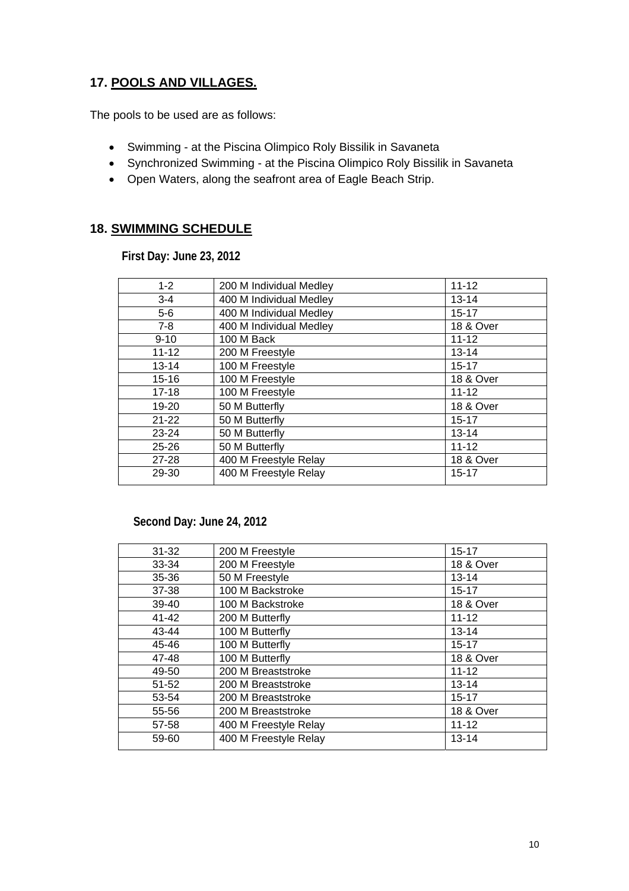## **17. POOLS AND VILLAGES.**

The pools to be used are as follows:

- Swimming at the Piscina Olimpico Roly Bissilik in Savaneta
- Synchronized Swimming at the Piscina Olimpico Roly Bissilik in Savaneta
- Open Waters, along the seafront area of Eagle Beach Strip.

#### **18. SWIMMING SCHEDULE**

 **First Day: June 23, 2012** 

| $1 - 2$   | 200 M Individual Medley | $11 - 12$            |
|-----------|-------------------------|----------------------|
| $3-4$     | 400 M Individual Medley | $13 - 14$            |
| $5-6$     | 400 M Individual Medley | $15 - 17$            |
| $7-8$     | 400 M Individual Medley | <b>18 &amp; Over</b> |
| $9 - 10$  | 100 M Back              | $11 - 12$            |
| $11 - 12$ | 200 M Freestyle         | $13 - 14$            |
| $13 - 14$ | 100 M Freestyle         | $15 - 17$            |
| $15 - 16$ | 100 M Freestyle         | <b>18 &amp; Over</b> |
| $17 - 18$ | 100 M Freestyle         | $11 - 12$            |
| 19-20     | 50 M Butterfly          | <b>18 &amp; Over</b> |
| $21 - 22$ | 50 M Butterfly          | $15 - 17$            |
| 23-24     | 50 M Butterfly          | $13 - 14$            |
| $25 - 26$ | 50 M Butterfly          | $11 - 12$            |
| $27 - 28$ | 400 M Freestyle Relay   | <b>18 &amp; Over</b> |
| 29-30     | 400 M Freestyle Relay   | $15 - 17$            |
|           |                         |                      |

#### **Second Day: June 24, 2012**

| $31 - 32$ | 200 M Freestyle       | $15 - 17$            |
|-----------|-----------------------|----------------------|
| 33-34     | 200 M Freestyle       | <b>18 &amp; Over</b> |
| 35-36     | 50 M Freestyle        | $13 - 14$            |
| 37-38     | 100 M Backstroke      | $15 - 17$            |
| 39-40     | 100 M Backstroke      | <b>18 &amp; Over</b> |
| 41-42     | 200 M Butterfly       | $11 - 12$            |
| 43-44     | 100 M Butterfly       | $13 - 14$            |
| 45-46     | 100 M Butterfly       | $15 - 17$            |
| 47-48     | 100 M Butterfly       | <b>18 &amp; Over</b> |
| 49-50     | 200 M Breaststroke    | $11 - 12$            |
| $51 - 52$ | 200 M Breaststroke    | $13 - 14$            |
| 53-54     | 200 M Breaststroke    | $15 - 17$            |
| 55-56     | 200 M Breaststroke    | <b>18 &amp; Over</b> |
| 57-58     | 400 M Freestyle Relay | $11 - 12$            |
| 59-60     | 400 M Freestyle Relay | $13 - 14$            |
|           |                       |                      |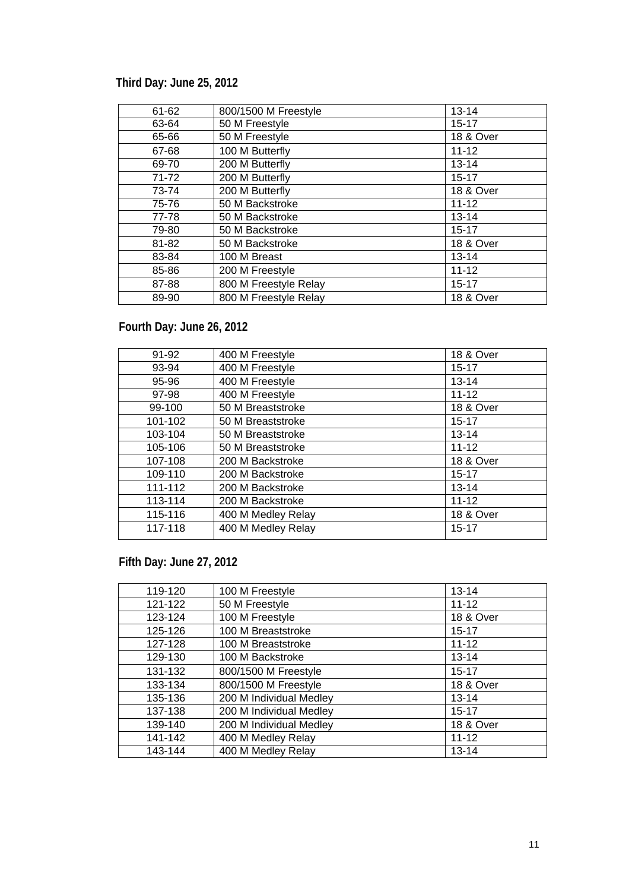## **Third Day: June 25, 2012**

| 61-62     | 800/1500 M Freestyle  | $13 - 14$            |
|-----------|-----------------------|----------------------|
| 63-64     | 50 M Freestyle        | $15 - 17$            |
| 65-66     | 50 M Freestyle        | 18 & Over            |
| 67-68     | 100 M Butterfly       | $11 - 12$            |
| 69-70     | 200 M Butterfly       | $13 - 14$            |
| $71 - 72$ | 200 M Butterfly       | $15 - 17$            |
| 73-74     | 200 M Butterfly       | <b>18 &amp; Over</b> |
| 75-76     | 50 M Backstroke       | $11 - 12$            |
| 77-78     | 50 M Backstroke       | $13 - 14$            |
| 79-80     | 50 M Backstroke       | $15 - 17$            |
| 81-82     | 50 M Backstroke       | 18 & Over            |
| 83-84     | 100 M Breast          | $13 - 14$            |
| 85-86     | 200 M Freestyle       | $11 - 12$            |
| 87-88     | 800 M Freestyle Relay | $15 - 17$            |
| 89-90     | 800 M Freestyle Relay | <b>18 &amp; Over</b> |

## **Fourth Day: June 26, 2012**

| 91-92   | 400 M Freestyle    | <b>18 &amp; Over</b> |
|---------|--------------------|----------------------|
| 93-94   | 400 M Freestyle    | $15 - 17$            |
| 95-96   | 400 M Freestyle    | $13 - 14$            |
| 97-98   | 400 M Freestyle    | $11 - 12$            |
| 99-100  | 50 M Breaststroke  | <b>18 &amp; Over</b> |
| 101-102 | 50 M Breaststroke  | $15 - 17$            |
| 103-104 | 50 M Breaststroke  | $13 - 14$            |
| 105-106 | 50 M Breaststroke  | $11 - 12$            |
| 107-108 | 200 M Backstroke   | <b>18 &amp; Over</b> |
| 109-110 | 200 M Backstroke   | $15 - 17$            |
| 111-112 | 200 M Backstroke   | $13 - 14$            |
| 113-114 | 200 M Backstroke   | $11 - 12$            |
| 115-116 | 400 M Medley Relay | <b>18 &amp; Over</b> |
| 117-118 | 400 M Medley Relay | $15 - 17$            |

**Fifth Day: June 27, 2012** 

| 119-120 | 100 M Freestyle         | $13 - 14$            |
|---------|-------------------------|----------------------|
| 121-122 | 50 M Freestyle          | $11 - 12$            |
| 123-124 | 100 M Freestyle         | <b>18 &amp; Over</b> |
| 125-126 | 100 M Breaststroke      | $15 - 17$            |
| 127-128 | 100 M Breaststroke      | $11 - 12$            |
| 129-130 | 100 M Backstroke        | $13 - 14$            |
| 131-132 | 800/1500 M Freestyle    | $15 - 17$            |
| 133-134 | 800/1500 M Freestyle    | <b>18 &amp; Over</b> |
| 135-136 | 200 M Individual Medley | $13 - 14$            |
| 137-138 | 200 M Individual Medley | $15 - 17$            |
| 139-140 | 200 M Individual Medley | 18 & Over            |
| 141-142 | 400 M Medley Relay      | $11 - 12$            |
| 143-144 | 400 M Medley Relay      | $13 - 14$            |